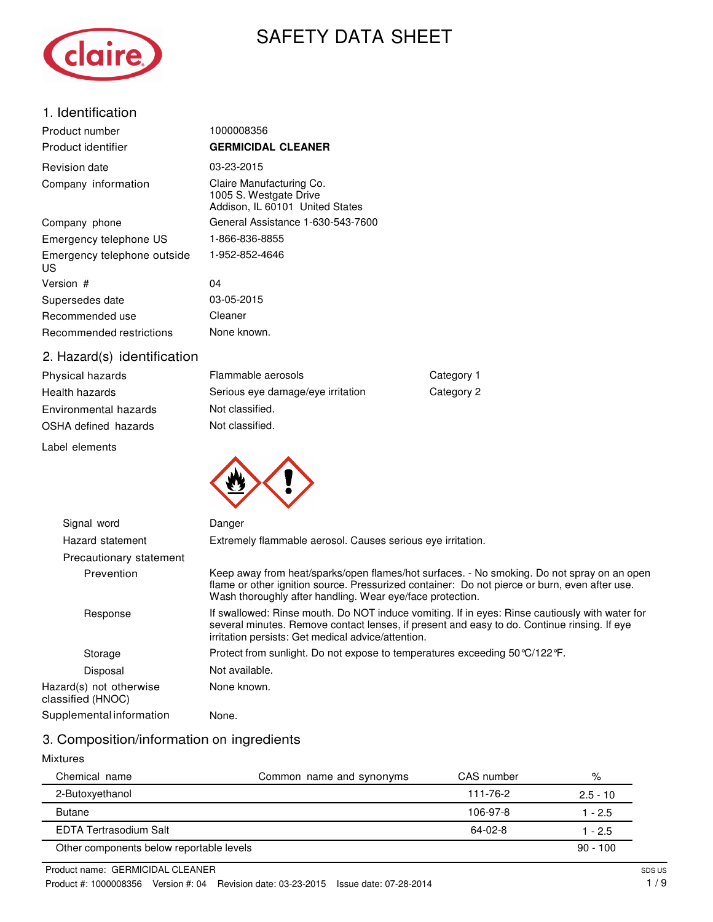

# SAFETY DATA SHEET

### 1. Identification

| Product number                    | 1000008356                                                                            |
|-----------------------------------|---------------------------------------------------------------------------------------|
| Product identifier                | <b>GERMICIDAL CLEANER</b>                                                             |
| Revision date                     | 03-23-2015                                                                            |
| Company information               | Claire Manufacturing Co.<br>1005 S. Westgate Drive<br>Addison, IL 60101 United States |
| Company phone                     | General Assistance 1-630-543-7600                                                     |
| Emergency telephone US            | 1-866-836-8855                                                                        |
| Emergency telephone outside<br>US | 1-952-852-4646                                                                        |
| Version #                         | 04                                                                                    |
| Supersedes date                   | 03-05-2015                                                                            |
| Recommended use                   | Cleaner                                                                               |
| Recommended restrictions          | None known.                                                                           |
| 2 Hazard(s) identification        |                                                                                       |

#### 2. Hazard(s) identification

| Physical hazards      | Flammable aerosols                |
|-----------------------|-----------------------------------|
| Health hazards        | Serious eye damage/eye irritation |
| Environmental hazards | Not classified.                   |
| OSHA defined hazards  | Not classified.                   |
|                       |                                   |

Label elements



Category 1 Category 2

### 3. Composition/information on ingredients

#### Mixtures

| Chemical name                            | Common name and synonyms | CAS number | %          |
|------------------------------------------|--------------------------|------------|------------|
| 2-Butoxyethanol                          |                          | 111-76-2   | $2.5 - 10$ |
| <b>Butane</b>                            |                          | 106-97-8   | 1 - 2.5    |
| EDTA Tertrasodium Salt                   |                          | 64-02-8    | $1 - 2.5$  |
| Other components below reportable levels |                          |            | $90 - 100$ |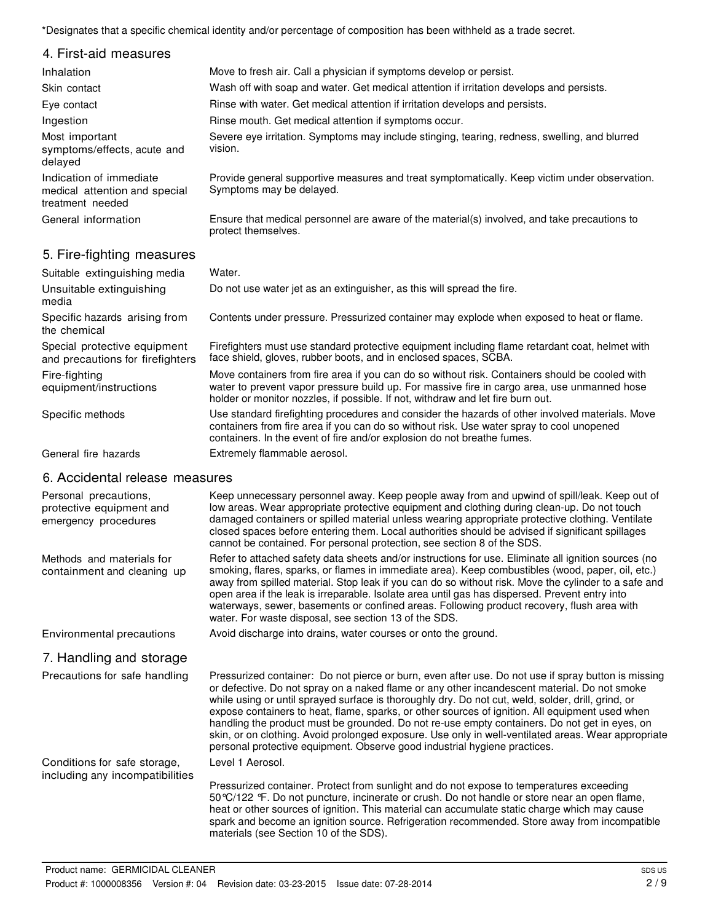\*Designates that a specific chemical identity and/or percentage of composition has been withheld as a trade secret.

| 4. First-aid measures                                                        |                                                                                                                           |
|------------------------------------------------------------------------------|---------------------------------------------------------------------------------------------------------------------------|
| Inhalation                                                                   | Move to fresh air. Call a physician if symptoms develop or persist.                                                       |
| Skin contact                                                                 | Wash off with soap and water. Get medical attention if irritation develops and persists.                                  |
| Eye contact                                                                  | Rinse with water. Get medical attention if irritation develops and persists.                                              |
| Ingestion                                                                    | Rinse mouth. Get medical attention if symptoms occur.                                                                     |
| Most important<br>symptoms/effects, acute and<br>delaved                     | Severe eye irritation. Symptoms may include stinging, tearing, redness, swelling, and blurred<br>vision.                  |
| Indication of immediate<br>medical attention and special<br>treatment needed | Provide general supportive measures and treat symptomatically. Keep victim under observation.<br>Symptoms may be delayed. |
| General information                                                          | Ensure that medical personnel are aware of the material(s) involved, and take precautions to<br>protect themselves.       |

### 5. Fire-fighting measures

| Suitable extinguishing media                                     | Water.                                                                                                                                                                                                                                                                           |
|------------------------------------------------------------------|----------------------------------------------------------------------------------------------------------------------------------------------------------------------------------------------------------------------------------------------------------------------------------|
| Unsuitable extinguishing<br>media                                | Do not use water jet as an extinguisher, as this will spread the fire.                                                                                                                                                                                                           |
| Specific hazards arising from<br>the chemical                    | Contents under pressure. Pressurized container may explode when exposed to heat or flame.                                                                                                                                                                                        |
| Special protective equipment<br>and precautions for firefighters | Firefighters must use standard protective equipment including flame retardant coat, helmet with<br>face shield, gloves, rubber boots, and in enclosed spaces, SCBA.                                                                                                              |
| Fire-fighting<br>equipment/instructions                          | Move containers from fire area if you can do so without risk. Containers should be cooled with<br>water to prevent vapor pressure build up. For massive fire in cargo area, use unmanned hose<br>holder or monitor nozzles, if possible. If not, withdraw and let fire burn out. |
| Specific methods                                                 | Use standard firefighting procedures and consider the hazards of other involved materials. Move<br>containers from fire area if you can do so without risk. Use water spray to cool unopened<br>containers. In the event of fire and/or explosion do not breathe fumes.          |
| General fire hazards                                             | Extremely flammable aerosol.                                                                                                                                                                                                                                                     |

### 6. Accidental release measures

| Personal precautions,<br>protective equipment and<br>emergency procedures | Keep unnecessary personnel away. Keep people away from and upwind of spill/leak. Keep out of<br>low areas. Wear appropriate protective equipment and clothing during clean-up. Do not touch<br>damaged containers or spilled material unless wearing appropriate protective clothing. Ventilate<br>closed spaces before entering them. Local authorities should be advised if significant spillages<br>cannot be contained. For personal protection, see section 8 of the SDS.                                                                                                                                                                                                                    |
|---------------------------------------------------------------------------|---------------------------------------------------------------------------------------------------------------------------------------------------------------------------------------------------------------------------------------------------------------------------------------------------------------------------------------------------------------------------------------------------------------------------------------------------------------------------------------------------------------------------------------------------------------------------------------------------------------------------------------------------------------------------------------------------|
| Methods and materials for<br>containment and cleaning up                  | Refer to attached safety data sheets and/or instructions for use. Eliminate all ignition sources (no<br>smoking, flares, sparks, or flames in immediate area). Keep combustibles (wood, paper, oil, etc.)<br>away from spilled material. Stop leak if you can do so without risk. Move the cylinder to a safe and<br>open area if the leak is irreparable. Isolate area until gas has dispersed. Prevent entry into<br>waterways, sewer, basements or confined areas. Following product recovery, flush area with<br>water. For waste disposal, see section 13 of the SDS.                                                                                                                        |
| Environmental precautions                                                 | Avoid discharge into drains, water courses or onto the ground.                                                                                                                                                                                                                                                                                                                                                                                                                                                                                                                                                                                                                                    |
| 7. Handling and storage                                                   |                                                                                                                                                                                                                                                                                                                                                                                                                                                                                                                                                                                                                                                                                                   |
| Precautions for safe handling                                             | Pressurized container: Do not pierce or burn, even after use. Do not use if spray button is missing<br>or defective. Do not spray on a naked flame or any other incandescent material. Do not smoke<br>while using or until sprayed surface is thoroughly dry. Do not cut, weld, solder, drill, grind, or<br>expose containers to heat, flame, sparks, or other sources of ignition. All equipment used when<br>handling the product must be grounded. Do not re-use empty containers. Do not get in eyes, on<br>skin, or on clothing. Avoid prolonged exposure. Use only in well-ventilated areas. Wear appropriate<br>personal protective equipment. Observe good industrial hygiene practices. |
| Conditions for safe storage,<br>including any incompatibilities           | Level 1 Aerosol.                                                                                                                                                                                                                                                                                                                                                                                                                                                                                                                                                                                                                                                                                  |
|                                                                           | Pressurized container. Protect from sunlight and do not expose to temperatures exceeding<br>50 °C/122 °F. Do not puncture, incinerate or crush. Do not handle or store near an open flame,<br>heat or other sources of ignition. This material can accumulate static charge which may cause<br>spark and become an ignition source. Refrigeration recommended. Store away from incompatible<br>materials (see Section 10 of the SDS).                                                                                                                                                                                                                                                             |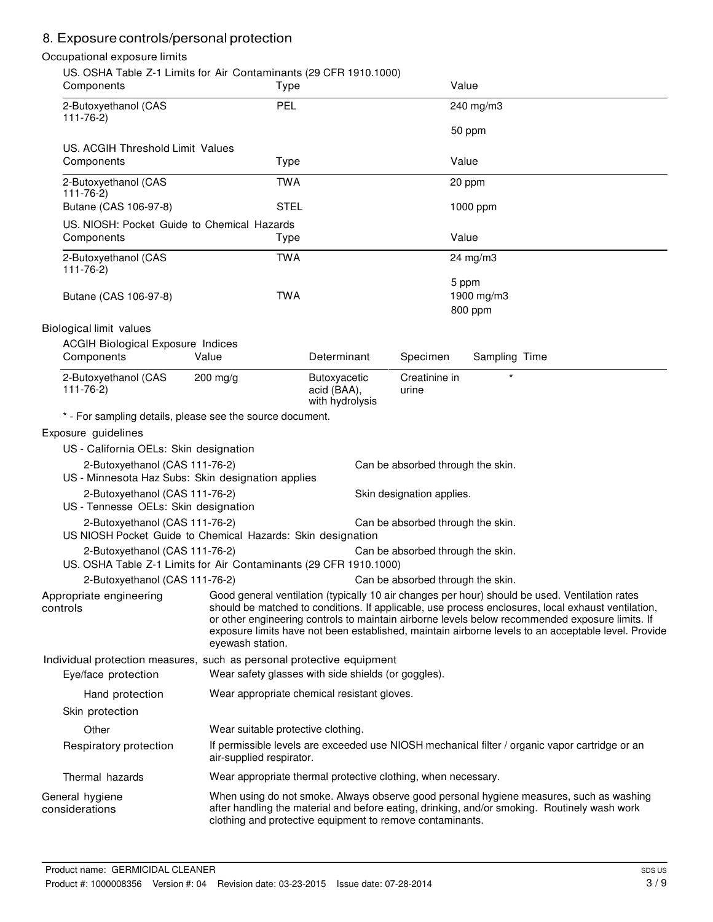# 8. Exposure controls/personal protection

### Occupational exposure limits

|                                   | Components                                                             | US. OSHA Table Z-1 Limits for Air Contaminants (29 CFR 1910.1000)<br>Type                                                    |                                                |                                   | Value                          |                                                                                                                                                                                                                                                                                                                                                                                                                |
|-----------------------------------|------------------------------------------------------------------------|------------------------------------------------------------------------------------------------------------------------------|------------------------------------------------|-----------------------------------|--------------------------------|----------------------------------------------------------------------------------------------------------------------------------------------------------------------------------------------------------------------------------------------------------------------------------------------------------------------------------------------------------------------------------------------------------------|
| $111 - 76 - 2)$                   | 2-Butoxyethanol (CAS                                                   | PEL                                                                                                                          |                                                |                                   | 240 mg/m3<br>50 ppm            |                                                                                                                                                                                                                                                                                                                                                                                                                |
|                                   | US. ACGIH Threshold Limit Values                                       |                                                                                                                              |                                                |                                   |                                |                                                                                                                                                                                                                                                                                                                                                                                                                |
|                                   | Components                                                             | Type                                                                                                                         |                                                |                                   | Value                          |                                                                                                                                                                                                                                                                                                                                                                                                                |
| $111 - 76 - 2)$                   | 2-Butoxyethanol (CAS                                                   | <b>TWA</b>                                                                                                                   |                                                |                                   | 20 ppm                         |                                                                                                                                                                                                                                                                                                                                                                                                                |
|                                   | Butane (CAS 106-97-8)                                                  | <b>STEL</b>                                                                                                                  |                                                |                                   | 1000 ppm                       |                                                                                                                                                                                                                                                                                                                                                                                                                |
|                                   | Components                                                             | US. NIOSH: Pocket Guide to Chemical Hazards<br>Type                                                                          |                                                |                                   | Value                          |                                                                                                                                                                                                                                                                                                                                                                                                                |
| $111 - 76 - 2$                    | 2-Butoxyethanol (CAS                                                   | <b>TWA</b>                                                                                                                   |                                                |                                   | $24 \text{ mg/m}$ 3            |                                                                                                                                                                                                                                                                                                                                                                                                                |
|                                   | Butane (CAS 106-97-8)                                                  | <b>TWA</b>                                                                                                                   |                                                |                                   | 5 ppm<br>1900 mg/m3<br>800 ppm |                                                                                                                                                                                                                                                                                                                                                                                                                |
|                                   | Biological limit values                                                |                                                                                                                              |                                                |                                   |                                |                                                                                                                                                                                                                                                                                                                                                                                                                |
|                                   | <b>ACGIH Biological Exposure Indices</b><br>Components                 | Value                                                                                                                        | Determinant                                    | Specimen                          | Sampling Time                  |                                                                                                                                                                                                                                                                                                                                                                                                                |
| $111 - 76 - 2$                    | 2-Butoxyethanol (CAS                                                   | 200 mg/g                                                                                                                     | Butoxyacetic<br>acid (BAA),<br>with hydrolysis | Creatinine in<br>urine            |                                |                                                                                                                                                                                                                                                                                                                                                                                                                |
|                                   |                                                                        | * - For sampling details, please see the source document.                                                                    |                                                |                                   |                                |                                                                                                                                                                                                                                                                                                                                                                                                                |
|                                   | Exposure guidelines                                                    |                                                                                                                              |                                                |                                   |                                |                                                                                                                                                                                                                                                                                                                                                                                                                |
|                                   | US - California OELs: Skin designation                                 |                                                                                                                              |                                                |                                   |                                |                                                                                                                                                                                                                                                                                                                                                                                                                |
|                                   | 2-Butoxyethanol (CAS 111-76-2)                                         | US - Minnesota Haz Subs: Skin designation applies                                                                            |                                                | Can be absorbed through the skin. |                                |                                                                                                                                                                                                                                                                                                                                                                                                                |
|                                   | 2-Butoxyethanol (CAS 111-76-2)<br>US - Tennesse OELs: Skin designation |                                                                                                                              |                                                | Skin designation applies.         |                                |                                                                                                                                                                                                                                                                                                                                                                                                                |
|                                   | 2-Butoxyethanol (CAS 111-76-2)                                         | US NIOSH Pocket Guide to Chemical Hazards: Skin designation                                                                  |                                                | Can be absorbed through the skin. |                                |                                                                                                                                                                                                                                                                                                                                                                                                                |
|                                   | 2-Butoxyethanol (CAS 111-76-2)                                         | US. OSHA Table Z-1 Limits for Air Contaminants (29 CFR 1910.1000)                                                            |                                                | Can be absorbed through the skin. |                                |                                                                                                                                                                                                                                                                                                                                                                                                                |
|                                   | 2-Butoxyethanol (CAS 111-76-2)                                         |                                                                                                                              |                                                | Can be absorbed through the skin. |                                |                                                                                                                                                                                                                                                                                                                                                                                                                |
| controls                          | Appropriate engineering                                                | eyewash station.                                                                                                             |                                                |                                   |                                | Good general ventilation (typically 10 air changes per hour) should be used. Ventilation rates<br>should be matched to conditions. If applicable, use process enclosures, local exhaust ventilation,<br>or other engineering controls to maintain airborne levels below recommended exposure limits. If<br>exposure limits have not been established, maintain airborne levels to an acceptable level. Provide |
|                                   | Eye/face protection                                                    | Individual protection measures, such as personal protective equipment<br>Wear safety glasses with side shields (or goggles). |                                                |                                   |                                |                                                                                                                                                                                                                                                                                                                                                                                                                |
|                                   | Hand protection                                                        | Wear appropriate chemical resistant gloves.                                                                                  |                                                |                                   |                                |                                                                                                                                                                                                                                                                                                                                                                                                                |
|                                   | Skin protection                                                        |                                                                                                                              |                                                |                                   |                                |                                                                                                                                                                                                                                                                                                                                                                                                                |
|                                   | Other                                                                  | Wear suitable protective clothing.                                                                                           |                                                |                                   |                                |                                                                                                                                                                                                                                                                                                                                                                                                                |
|                                   | Respiratory protection                                                 | air-supplied respirator.                                                                                                     |                                                |                                   |                                | If permissible levels are exceeded use NIOSH mechanical filter / organic vapor cartridge or an                                                                                                                                                                                                                                                                                                                 |
|                                   | Thermal hazards                                                        | Wear appropriate thermal protective clothing, when necessary.                                                                |                                                |                                   |                                |                                                                                                                                                                                                                                                                                                                                                                                                                |
| General hygiene<br>considerations |                                                                        | clothing and protective equipment to remove contaminants.                                                                    |                                                |                                   |                                | When using do not smoke. Always observe good personal hygiene measures, such as washing<br>after handling the material and before eating, drinking, and/or smoking. Routinely wash work                                                                                                                                                                                                                        |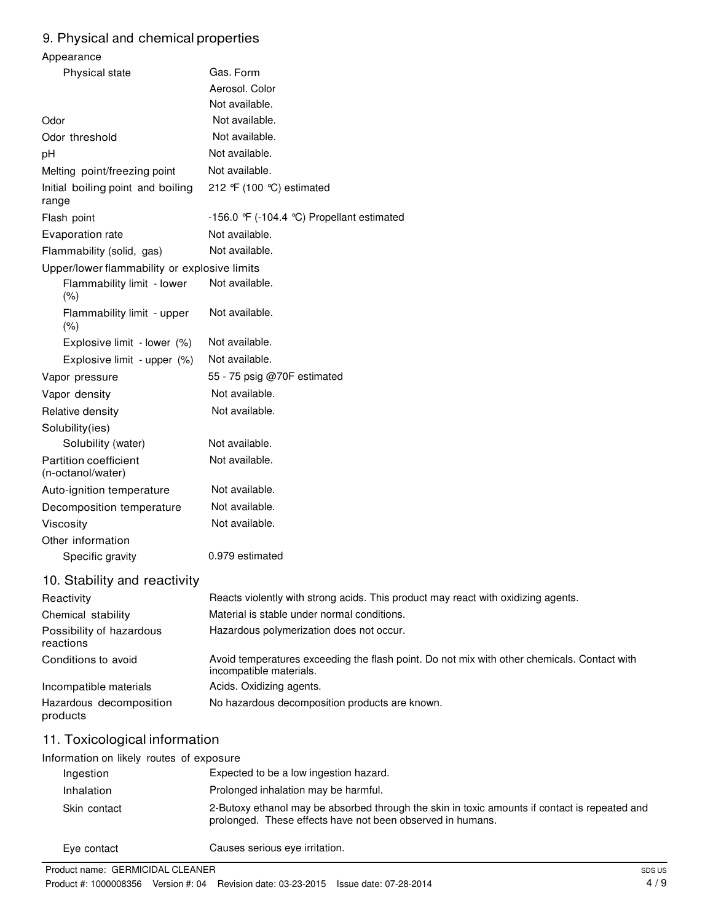### 9. Physical and chemical properties

| Appearance                                        |                                                                                                                                                             |  |
|---------------------------------------------------|-------------------------------------------------------------------------------------------------------------------------------------------------------------|--|
| Physical state                                    | Gas. Form                                                                                                                                                   |  |
|                                                   | Aerosol. Color                                                                                                                                              |  |
|                                                   | Not available.                                                                                                                                              |  |
| Odor                                              | Not available.                                                                                                                                              |  |
| Odor threshold                                    | Not available.                                                                                                                                              |  |
| pH                                                | Not available.                                                                                                                                              |  |
| Melting point/freezing point                      | Not available.                                                                                                                                              |  |
| Initial boiling point and boiling<br>range        | 212 °F (100 °C) estimated                                                                                                                                   |  |
| Flash point                                       | -156.0 $\mathcal{F}$ (-104.4 °C) Propellant estimated                                                                                                       |  |
| Evaporation rate                                  | Not available.                                                                                                                                              |  |
| Flammability (solid, gas)                         | Not available.                                                                                                                                              |  |
| Upper/lower flammability or explosive limits      |                                                                                                                                                             |  |
| Flammability limit - lower<br>(% )                | Not available.                                                                                                                                              |  |
| Flammability limit - upper<br>(% )                | Not available.                                                                                                                                              |  |
| Explosive limit - lower (%)                       | Not available.                                                                                                                                              |  |
| Explosive limit - upper (%)                       | Not available.                                                                                                                                              |  |
| Vapor pressure                                    | 55 - 75 psig @70F estimated                                                                                                                                 |  |
| Vapor density                                     | Not available.                                                                                                                                              |  |
| Relative density                                  | Not available.                                                                                                                                              |  |
| Solubility(ies)                                   |                                                                                                                                                             |  |
| Solubility (water)                                | Not available.                                                                                                                                              |  |
| <b>Partition coefficient</b><br>(n-octanol/water) | Not available.                                                                                                                                              |  |
| Auto-ignition temperature                         | Not available.                                                                                                                                              |  |
| Decomposition temperature                         | Not available.                                                                                                                                              |  |
| Viscosity                                         | Not available.                                                                                                                                              |  |
| Other information                                 |                                                                                                                                                             |  |
| Specific gravity                                  | 0.979 estimated                                                                                                                                             |  |
| 10. Stability and reactivity                      |                                                                                                                                                             |  |
| Reactivity                                        | Reacts violently with strong acids. This product may react with oxidizing agents.                                                                           |  |
| Chemical stability                                | Material is stable under normal conditions.                                                                                                                 |  |
| Possibility of hazardous<br>reactions             | Hazardous polymerization does not occur.                                                                                                                    |  |
| Conditions to avoid                               | Avoid temperatures exceeding the flash point. Do not mix with other chemicals. Contact with<br>incompatible materials.                                      |  |
| Incompatible materials                            | Acids. Oxidizing agents.                                                                                                                                    |  |
| Hazardous decomposition<br>products               | No hazardous decomposition products are known.                                                                                                              |  |
| 11. Toxicological information                     |                                                                                                                                                             |  |
| Information on likely routes of exposure          |                                                                                                                                                             |  |
| Ingestion                                         | Expected to be a low ingestion hazard.                                                                                                                      |  |
| Inhalation                                        | Prolonged inhalation may be harmful.                                                                                                                        |  |
| Skin contact                                      | 2-Butoxy ethanol may be absorbed through the skin in toxic amounts if contact is repeated and<br>prolonged. These effects have not been observed in humans. |  |

Eye contact Causes serious eye irritation.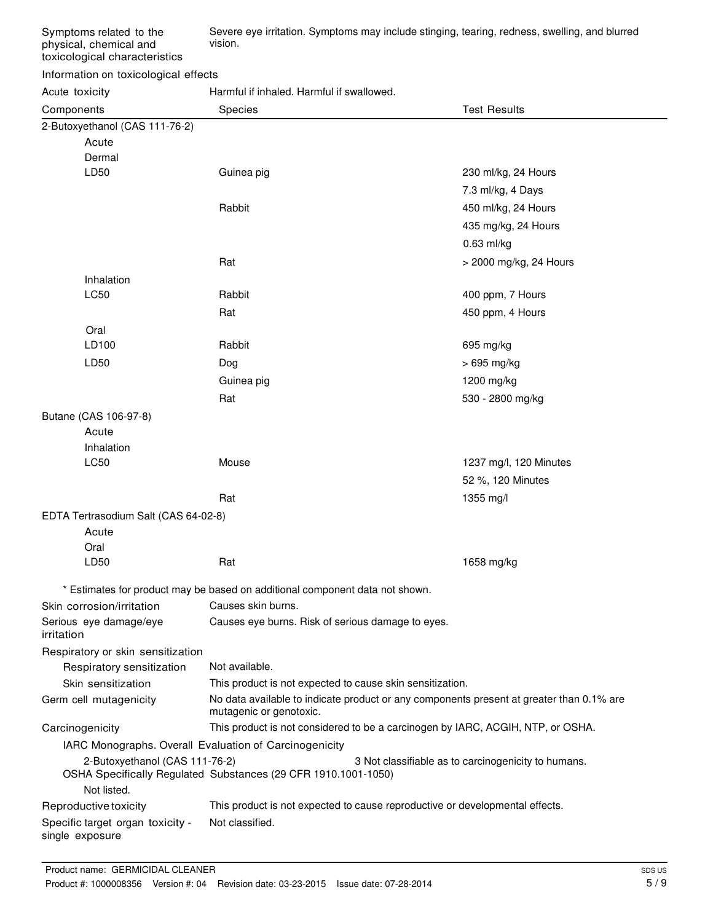Severe eye irritation. Symptoms may include stinging, tearing, redness, swelling, and blurred vision.

#### Information on toxicological effects

Acute toxicity **Harmful if inhaled. Harmful if swallowed.** 

| Components                                          | Species                                                                      | <b>Test Results</b>                                                                      |  |
|-----------------------------------------------------|------------------------------------------------------------------------------|------------------------------------------------------------------------------------------|--|
| 2-Butoxyethanol (CAS 111-76-2)                      |                                                                              |                                                                                          |  |
| Acute                                               |                                                                              |                                                                                          |  |
| Dermal                                              |                                                                              |                                                                                          |  |
| LD50                                                | Guinea pig                                                                   | 230 ml/kg, 24 Hours                                                                      |  |
|                                                     |                                                                              | 7.3 ml/kg, 4 Days                                                                        |  |
|                                                     | Rabbit                                                                       | 450 ml/kg, 24 Hours                                                                      |  |
|                                                     |                                                                              | 435 mg/kg, 24 Hours                                                                      |  |
|                                                     |                                                                              | $0.63$ ml/kg                                                                             |  |
|                                                     | Rat                                                                          | > 2000 mg/kg, 24 Hours                                                                   |  |
| Inhalation                                          |                                                                              |                                                                                          |  |
| LC50                                                | Rabbit                                                                       | 400 ppm, 7 Hours                                                                         |  |
|                                                     | Rat                                                                          | 450 ppm, 4 Hours                                                                         |  |
| Oral                                                |                                                                              |                                                                                          |  |
| LD100                                               | Rabbit                                                                       | 695 mg/kg                                                                                |  |
| LD50                                                | Dog                                                                          | > 695 mg/kg                                                                              |  |
|                                                     | Guinea pig                                                                   | 1200 mg/kg                                                                               |  |
|                                                     | Rat                                                                          | 530 - 2800 mg/kg                                                                         |  |
| Butane (CAS 106-97-8)                               |                                                                              |                                                                                          |  |
| Acute                                               |                                                                              |                                                                                          |  |
| Inhalation                                          |                                                                              |                                                                                          |  |
| LC50                                                | Mouse                                                                        | 1237 mg/l, 120 Minutes                                                                   |  |
|                                                     |                                                                              | 52 %, 120 Minutes                                                                        |  |
|                                                     | Rat                                                                          | 1355 mg/l                                                                                |  |
| EDTA Tertrasodium Salt (CAS 64-02-8)                |                                                                              |                                                                                          |  |
| Acute                                               |                                                                              |                                                                                          |  |
| Oral                                                |                                                                              |                                                                                          |  |
| LD50                                                | Rat                                                                          | 1658 mg/kg                                                                               |  |
|                                                     | * Estimates for product may be based on additional component data not shown. |                                                                                          |  |
| Skin corrosion/irritation                           | Causes skin burns.                                                           |                                                                                          |  |
| Serious eye damage/eye<br>irritation                | Causes eye burns. Risk of serious damage to eyes.                            |                                                                                          |  |
| Respiratory or skin sensitization                   |                                                                              |                                                                                          |  |
| Respiratory sensitization                           | Not available.                                                               |                                                                                          |  |
| Skin sensitization                                  | This product is not expected to cause skin sensitization.                    |                                                                                          |  |
| Germ cell mutagenicity                              | mutagenic or genotoxic.                                                      | No data available to indicate product or any components present at greater than 0.1% are |  |
| Carcinogenicity                                     |                                                                              | This product is not considered to be a carcinogen by IARC, ACGIH, NTP, or OSHA.          |  |
|                                                     | IARC Monographs. Overall Evaluation of Carcinogenicity                       |                                                                                          |  |
| 2-Butoxyethanol (CAS 111-76-2)<br>Not listed.       | OSHA Specifically Regulated Substances (29 CFR 1910.1001-1050)               | 3 Not classifiable as to carcinogenicity to humans.                                      |  |
| Reproductive toxicity                               |                                                                              | This product is not expected to cause reproductive or developmental effects.             |  |
| Specific target organ toxicity -<br>single exposure | Not classified.                                                              |                                                                                          |  |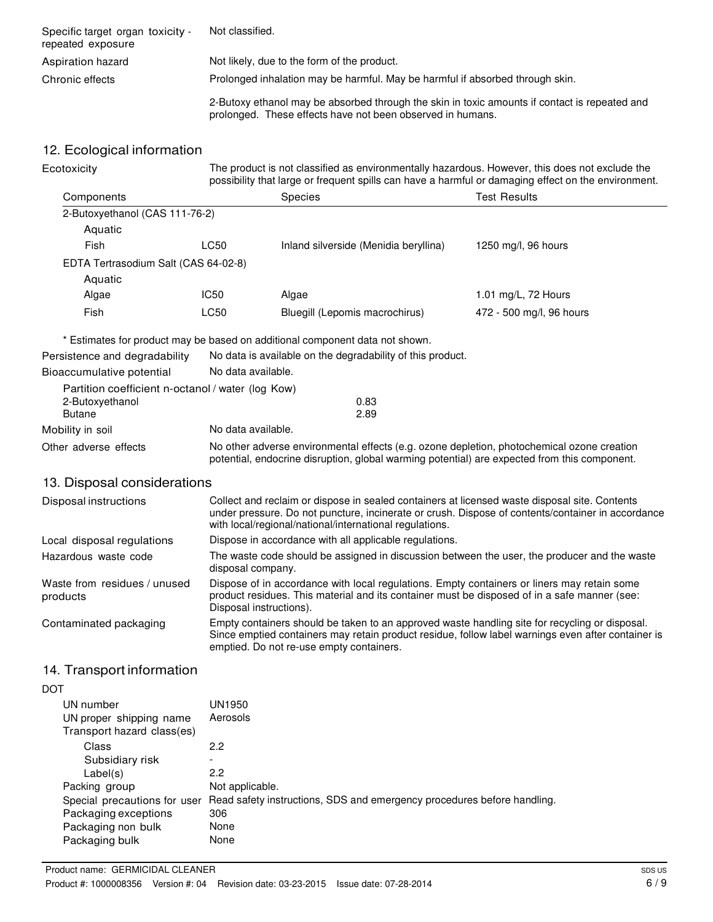| Specific target organ toxicity -<br>repeated exposure | Not classified.                                                                                                                                             |
|-------------------------------------------------------|-------------------------------------------------------------------------------------------------------------------------------------------------------------|
| Aspiration hazard                                     | Not likely, due to the form of the product.                                                                                                                 |
| Chronic effects                                       | Prolonged inhalation may be harmful. May be harmful if absorbed through skin.                                                                               |
|                                                       | 2-Butoxy ethanol may be absorbed through the skin in toxic amounts if contact is repeated and<br>prolonged. These effects have not been observed in humans. |

# 12. Ecological information

| Ecotoxicity                                       | The product is not classified as environmentally hazardous. However, this does not exclude the<br>possibility that large or frequent spills can have a harmful or damaging effect on the environment. |                                                                                                                                                          |                                                                                                   |
|---------------------------------------------------|-------------------------------------------------------------------------------------------------------------------------------------------------------------------------------------------------------|----------------------------------------------------------------------------------------------------------------------------------------------------------|---------------------------------------------------------------------------------------------------|
| Components                                        |                                                                                                                                                                                                       | <b>Species</b>                                                                                                                                           | <b>Test Results</b>                                                                               |
| 2-Butoxyethanol (CAS 111-76-2)                    |                                                                                                                                                                                                       |                                                                                                                                                          |                                                                                                   |
| Aquatic                                           |                                                                                                                                                                                                       |                                                                                                                                                          |                                                                                                   |
| Fish                                              | <b>LC50</b>                                                                                                                                                                                           | Inland silverside (Menidia beryllina)                                                                                                                    | 1250 mg/l, 96 hours                                                                               |
| EDTA Tertrasodium Salt (CAS 64-02-8)              |                                                                                                                                                                                                       |                                                                                                                                                          |                                                                                                   |
| Aquatic                                           |                                                                                                                                                                                                       |                                                                                                                                                          |                                                                                                   |
| Algae                                             | IC50                                                                                                                                                                                                  | Algae                                                                                                                                                    | 1.01 mg/L, 72 Hours                                                                               |
| Fish                                              | <b>LC50</b>                                                                                                                                                                                           | Bluegill (Lepomis macrochirus)                                                                                                                           | 472 - 500 mg/l, 96 hours                                                                          |
|                                                   |                                                                                                                                                                                                       | * Estimates for product may be based on additional component data not shown.                                                                             |                                                                                                   |
| Persistence and degradability                     |                                                                                                                                                                                                       | No data is available on the degradability of this product.                                                                                               |                                                                                                   |
| Bioaccumulative potential                         | No data available.                                                                                                                                                                                    |                                                                                                                                                          |                                                                                                   |
| Partition coefficient n-octanol / water (log Kow) |                                                                                                                                                                                                       |                                                                                                                                                          |                                                                                                   |
| 2-Butoxyethanol                                   |                                                                                                                                                                                                       | 0.83                                                                                                                                                     |                                                                                                   |
| <b>Butane</b>                                     | 2.89                                                                                                                                                                                                  |                                                                                                                                                          |                                                                                                   |
| Mobility in soil                                  | No data available.                                                                                                                                                                                    |                                                                                                                                                          |                                                                                                   |
| Other adverse effects                             | No other adverse environmental effects (e.g. ozone depletion, photochemical ozone creation<br>potential, endocrine disruption, global warming potential) are expected from this component.            |                                                                                                                                                          |                                                                                                   |
| 13. Disposal considerations                       |                                                                                                                                                                                                       |                                                                                                                                                          |                                                                                                   |
| Disposal instructions                             |                                                                                                                                                                                                       | Collect and reclaim or dispose in sealed containers at licensed waste disposal site. Contents<br>with local/regional/national/international regulations. | under pressure. Do not puncture, incinerate or crush. Dispose of contents/container in accordance |

| Local disposal regulations               | Dispose in accordance with all applicable regulations.                                                                                                                                                                                           |
|------------------------------------------|--------------------------------------------------------------------------------------------------------------------------------------------------------------------------------------------------------------------------------------------------|
| Hazardous waste code                     | The waste code should be assigned in discussion between the user, the producer and the waste<br>disposal company.                                                                                                                                |
| Waste from residues / unused<br>products | Dispose of in accordance with local regulations. Empty containers or liners may retain some<br>product residues. This material and its container must be disposed of in a safe manner (see:<br>Disposal instructions).                           |
| Contaminated packaging                   | Empty containers should be taken to an approved waste handling site for recycling or disposal.<br>Since emptied containers may retain product residue, follow label warnings even after container is<br>emptied. Do not re-use empty containers. |

# 14. Transport information

| I<br>ł<br>×<br>۰. |
|-------------------|
|-------------------|

| UN number                    | UN1950                                                                  |
|------------------------------|-------------------------------------------------------------------------|
| UN proper shipping name      | Aerosols                                                                |
| Transport hazard class(es)   |                                                                         |
| Class                        | 2.2                                                                     |
| Subsidiary risk              |                                                                         |
| Label(s)                     | 2.2                                                                     |
| Packing group                | Not applicable.                                                         |
| Special precautions for user | Read safety instructions, SDS and emergency procedures before handling. |
| Packaging exceptions         | 306                                                                     |
| Packaging non bulk           | None                                                                    |
| Packaging bulk               | None                                                                    |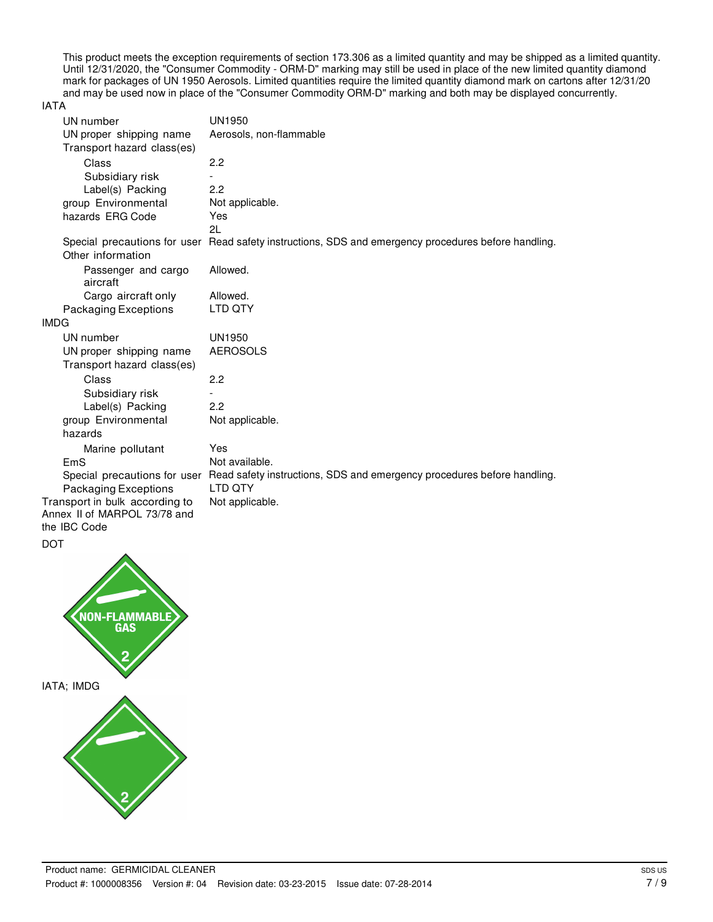This product meets the exception requirements of section 173.306 as a limited quantity and may be shipped as a limited quantity. Until 12/31/2020, the "Consumer Commodity - ORM-D" marking may still be used in place of the new limited quantity diamond mark for packages of UN 1950 Aerosols. Limited quantities require the limited quantity diamond mark on cartons after 12/31/20 and may be used now in place of the "Consumer Commodity ORM-D" marking and both may be displayed concurrently.

#### IATA

| UN number                                                   | <b>UN1950</b>                                                                                        |
|-------------------------------------------------------------|------------------------------------------------------------------------------------------------------|
| UN proper shipping name                                     | Aerosols, non-flammable                                                                              |
| Transport hazard class(es)                                  |                                                                                                      |
| Class                                                       | 2.2                                                                                                  |
| Subsidiary risk                                             |                                                                                                      |
| Label(s) Packing                                            | 2.2                                                                                                  |
| group Environmental                                         | Not applicable.                                                                                      |
| hazards ERG Code                                            | Yes                                                                                                  |
|                                                             | 21                                                                                                   |
|                                                             | Special precautions for user Read safety instructions, SDS and emergency procedures before handling. |
| Other information                                           |                                                                                                      |
| Passenger and cargo<br>aircraft                             | Allowed.                                                                                             |
| Cargo aircraft only                                         | Allowed.                                                                                             |
| Packaging Exceptions                                        | LTD QTY                                                                                              |
| <b>IMDG</b>                                                 |                                                                                                      |
| UN number                                                   | <b>UN1950</b>                                                                                        |
| UN proper shipping name                                     | <b>AEROSOLS</b>                                                                                      |
| Transport hazard class(es)                                  |                                                                                                      |
| Class                                                       | 2.2                                                                                                  |
| Subsidiary risk                                             |                                                                                                      |
| Label(s) Packing                                            | 2.2                                                                                                  |
| group Environmental                                         | Not applicable.                                                                                      |
| hazards                                                     |                                                                                                      |
| Marine pollutant                                            | Yes                                                                                                  |
| EmS                                                         | Not available.                                                                                       |
| Special precautions for user<br><b>Packaging Exceptions</b> | Read safety instructions, SDS and emergency procedures before handling.<br>LTD QTY                   |
| Transport in bulk according to                              | Not applicable.                                                                                      |
| Annex II of MARPOL 73/78 and<br>the IBC Code                |                                                                                                      |

DOT

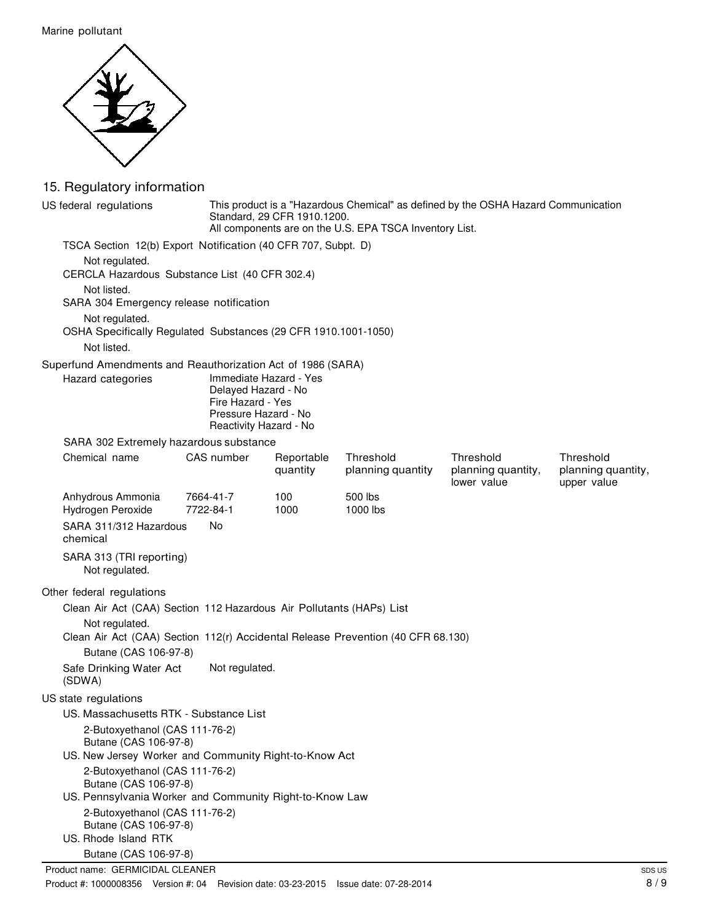Marine pollutant



# 15. Regulatory information

| US federal regulations                                                                             |                                                                                            | This product is a "Hazardous Chemical" as defined by the OSHA Hazard Communication<br>Standard, 29 CFR 1910.1200.<br>All components are on the U.S. EPA TSCA Inventory List. |                                |                                                |                                                |
|----------------------------------------------------------------------------------------------------|--------------------------------------------------------------------------------------------|------------------------------------------------------------------------------------------------------------------------------------------------------------------------------|--------------------------------|------------------------------------------------|------------------------------------------------|
| TSCA Section 12(b) Export Notification (40 CFR 707, Subpt. D)                                      |                                                                                            |                                                                                                                                                                              |                                |                                                |                                                |
| Not regulated.<br>CERCLA Hazardous Substance List (40 CFR 302.4)                                   |                                                                                            |                                                                                                                                                                              |                                |                                                |                                                |
| Not listed.<br>SARA 304 Emergency release notification                                             |                                                                                            |                                                                                                                                                                              |                                |                                                |                                                |
| Not regulated.<br>OSHA Specifically Regulated Substances (29 CFR 1910.1001-1050)<br>Not listed.    |                                                                                            |                                                                                                                                                                              |                                |                                                |                                                |
| Superfund Amendments and Reauthorization Act of 1986 (SARA)                                        |                                                                                            |                                                                                                                                                                              |                                |                                                |                                                |
| Hazard categories                                                                                  | Delayed Hazard - No<br>Fire Hazard - Yes<br>Pressure Hazard - No<br>Reactivity Hazard - No | Immediate Hazard - Yes                                                                                                                                                       |                                |                                                |                                                |
| SARA 302 Extremely hazardous substance                                                             |                                                                                            |                                                                                                                                                                              |                                |                                                |                                                |
| Chemical name                                                                                      | CAS number                                                                                 | Reportable<br>quantity                                                                                                                                                       | Threshold<br>planning quantity | Threshold<br>planning quantity,<br>lower value | Threshold<br>planning quantity,<br>upper value |
| Anhydrous Ammonia<br>Hydrogen Peroxide                                                             | 7664-41-7<br>7722-84-1                                                                     | 100<br>1000                                                                                                                                                                  | 500 lbs<br>1000 lbs            |                                                |                                                |
| SARA 311/312 Hazardous<br>chemical                                                                 | No                                                                                         |                                                                                                                                                                              |                                |                                                |                                                |
| SARA 313 (TRI reporting)<br>Not regulated.                                                         |                                                                                            |                                                                                                                                                                              |                                |                                                |                                                |
| Other federal regulations                                                                          |                                                                                            |                                                                                                                                                                              |                                |                                                |                                                |
| Clean Air Act (CAA) Section 112 Hazardous Air Pollutants (HAPs) List                               |                                                                                            |                                                                                                                                                                              |                                |                                                |                                                |
| Not regulated.<br>Clean Air Act (CAA) Section 112(r) Accidental Release Prevention (40 CFR 68.130) |                                                                                            |                                                                                                                                                                              |                                |                                                |                                                |
| Butane (CAS 106-97-8)                                                                              |                                                                                            |                                                                                                                                                                              |                                |                                                |                                                |
| Safe Drinking Water Act<br>(SDWA)                                                                  | Not regulated.                                                                             |                                                                                                                                                                              |                                |                                                |                                                |
| US state regulations                                                                               |                                                                                            |                                                                                                                                                                              |                                |                                                |                                                |
| US. Massachusetts RTK - Substance List                                                             |                                                                                            |                                                                                                                                                                              |                                |                                                |                                                |
| 2-Butoxyethanol (CAS 111-76-2)                                                                     |                                                                                            |                                                                                                                                                                              |                                |                                                |                                                |
| Butane (CAS 106-97-8)<br>US. New Jersey Worker and Community Right-to-Know Act                     |                                                                                            |                                                                                                                                                                              |                                |                                                |                                                |
| 2-Butoxyethanol (CAS 111-76-2)                                                                     |                                                                                            |                                                                                                                                                                              |                                |                                                |                                                |
| Butane (CAS 106-97-8)                                                                              |                                                                                            |                                                                                                                                                                              |                                |                                                |                                                |
| US. Pennsylvania Worker and Community Right-to-Know Law                                            |                                                                                            |                                                                                                                                                                              |                                |                                                |                                                |
| 2-Butoxyethanol (CAS 111-76-2)                                                                     |                                                                                            |                                                                                                                                                                              |                                |                                                |                                                |
| Butane (CAS 106-97-8)<br>US. Rhode Island RTK                                                      |                                                                                            |                                                                                                                                                                              |                                |                                                |                                                |
| Butane (CAS 106-97-8)                                                                              |                                                                                            |                                                                                                                                                                              |                                |                                                |                                                |
| Product name: GERMICIDAL CLEANER                                                                   |                                                                                            |                                                                                                                                                                              |                                |                                                | <b>SD</b>                                      |